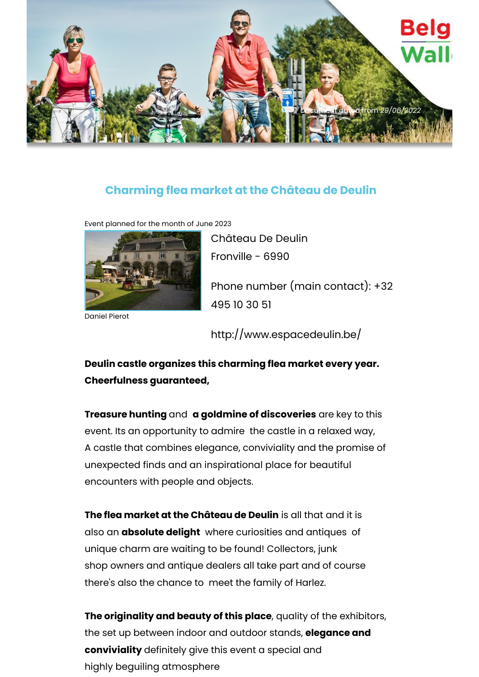

## **Charming flea market at the Château de Deulin**

Event planned for the month of June 2023



Daniel Pierot

Château De Deulin Fronville - 6990 Phone number (main contact): +32 495 10 30 51

http://www.espacedeulin.be/

**Deulin castle organizes this charming flea market every year. Cheerfulness guaranteed,**

**Treasure hunting** and **a goldmine of discoveries** are key to this event. Its an opportunity to admire the castle in a relaxed way, A castle that combines elegance, conviviality and the promise of unexpected finds and an inspirational place for beautiful encounters with people and objects.

**The flea market at the Château de Deulin** is all that and it is also an **absolute delight** where curiosities and antiques of unique charm are waiting to be found! Collectors, junk shop owners and antique dealers all take part and of course there's also the chance to meet the family of Harlez.

**The originality and beauty of this place**, quality of the exhibitors, the set up between indoor and outdoor stands, **elegance and conviviality** definitely give this event a special and highly beguiling atmosphere